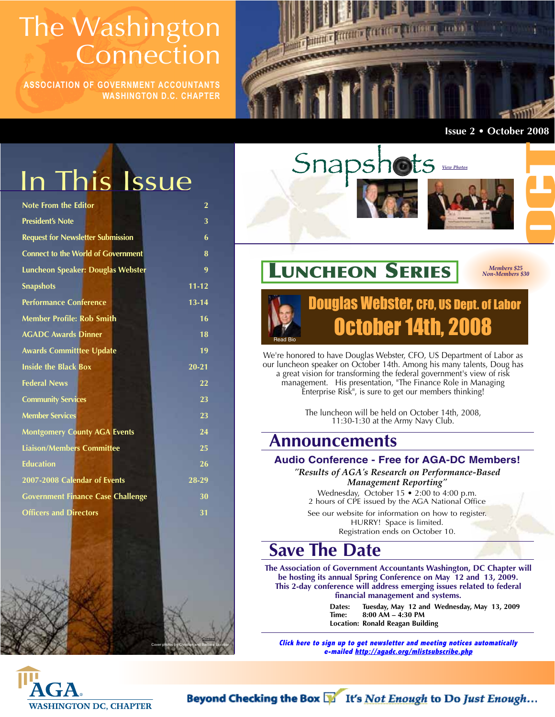## **The Washington Connection**

**ASSOCIATION OF GOVERNMENT ACCOUNTANTS WASHINGTON D.C. CHAPTER**



**Issue 2 • October 2008**

## In This Issue

| <b>Note From the Editor</b>               | $\overline{2}$ |
|-------------------------------------------|----------------|
| <b>President's Note</b>                   | 3              |
| <b>Request for Newsletter Submission</b>  | 6              |
| <b>Connect to the World of Government</b> | 8              |
| Luncheon Speaker: Douglas Webster         | 9              |
| <b>Snapshots</b>                          | $11 - 12$      |
| <b>Performance Conference</b>             | $13 - 14$      |
| <b>Member Profile: Rob Smith</b>          | 16             |
| <b>AGADC Awards Dinner</b>                | 18             |
| <b>Awards Committtee Update</b>           | 19             |
| <b>Inside the Black Box</b>               | $20 - 21$      |
| <b>Federal News</b>                       | 22             |
| <b>Community Services</b>                 | 23             |
| <b>Member Services</b>                    | 23             |
| <b>Montgomery County AGA Events</b>       | 24             |
| <b>Liaison/Members Committee</b>          | 25             |
| <b>Education</b>                          | 26             |
| 2007-2008 Calendar of Events              | 28-29          |
| <b>Government Finance Case Challenge</b>  | 30             |
| <b>Officers and Directors</b>             | 31             |
|                                           |                |



## **LUNCHEON SERIES**

*Members \$25 Non-Members \$30*

### Douglas Webster, CFO, US Dept. of Labor October 14th, 2008 Read Bio

We're honored to have Douglas Webster, CFO, US Department of Labor as our luncheon speaker on October 14th. Among his many talents, Doug has a great vision for transforming the federal government's view of risk management. His presentation, "The Finance Role in Managing Enterprise Risk", is sure to get our members thinking!

> The luncheon will be held on October 14th, 2008, 11:30-1:30 at the Army Navy Club.

### **Announcements**

#### **Audio Conference - Free for AGA-DC Members!**

*"Results of AGA's Research on Performance-Based Management Reporting"*

Wednesday, October 15 • 2:00 to 4:00 p.m. 2 hours of CPE issued by the AGA National Office

See our website for information on how to register. HURRY! Space is limited. Registration ends on October 10.

### **Save The Date**

**The Association of Government Accountants Washington, DC Chapter will be hosting its annual Spring Conference on May 12 and 13, 2009. This 2-day conference will address emerging issues related to federal financial management and systems.**

> **Dates: Tuesday, May 12 and Wednesday, May 13, 2009 Time: 8:00 AM – 4:30 PM Location: Ronald Reagan Building**

**Click here to sign up to get newsletter and meeting notices automatically e-mailed http://agadc.org/mlistsubscribe.php**



Cover photos by Christian and Barbara Escobar

**Contact** 

Beyond Checking the Box  $\mathbb{N}$  It's Not Enough to Do Just Enough...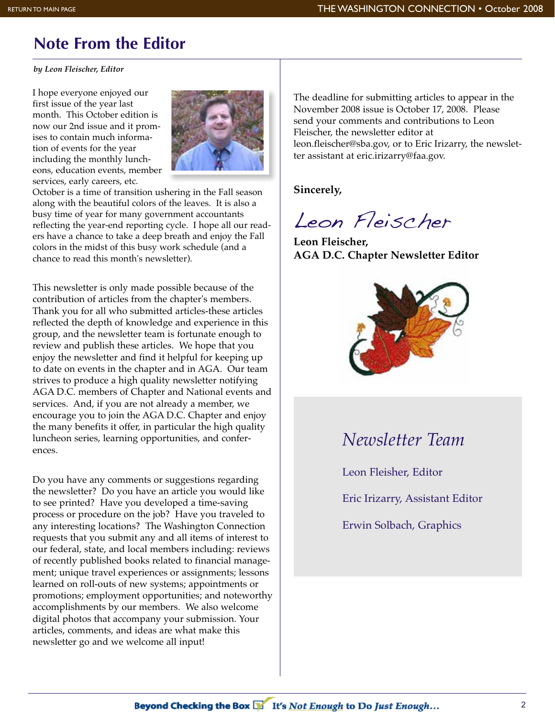## **Note From the Editor**

*by Leon Fleischer, Editor*

I hope everyone enjoyed our first issue of the year last month. This October edition is now our 2nd issue and it promises to contain much information of events for the year including the monthly luncheons, education events, member services, early careers, etc.



October is a time of transition ushering in the Fall season along with the beautiful colors of the leaves. It is also a busy time of year for many government accountants reflecting the year-end reporting cycle. I hope all our readers have a chance to take a deep breath and enjoy the Fall colors in the midst of this busy work schedule (and a chance to read this month's newsletter).

This newsletter is only made possible because of the contribution of articles from the chapter's members. Thank you for all who submitted articles-these articles reflected the depth of knowledge and experience in this group, and the newsletter team is fortunate enough to review and publish these articles. We hope that you enjoy the newsletter and find it helpful for keeping up to date on events in the chapter and in AGA. Our team strives to produce a high quality newsletter notifying AGA D.C. members of Chapter and National events and services. And, if you are not already a member, we encourage you to join the AGA D.C. Chapter and enjoy the many benefits it offer, in particular the high quality luncheon series, learning opportunities, and conferences.

Do you have any comments or suggestions regarding the newsletter? Do you have an article you would like to see printed? Have you developed a time-saving process or procedure on the job? Have you traveled to any interesting locations? The Washington Connection requests that you submit any and all items of interest to our federal, state, and local members including: reviews of recently published books related to financial management; unique travel experiences or assignments; lessons learned on roll-outs of new systems; appointments or promotions; employment opportunities; and noteworthy accomplishments by our members. We also welcome digital photos that accompany your submission. Your articles, comments, and ideas are what make this newsletter go and we welcome all input!

The deadline for submitting articles to appear in the November 2008 issue is October 17, 2008. Please send your comments and contributions to Leon Fleischer, the newsletter editor at leon.fleischer@sba.gov, or to Eric Irizarry, the newsletter assistant at eric.irizarry@faa.gov.

**Sincerely,**

Leon Fleischer

**Leon Fleischer, AGA D.C. Chapter Newsletter Editor**



## *Newsletter Team*

Leon Fleisher, Editor

Eric Irizarry, Assistant Editor

Erwin Solbach, Graphics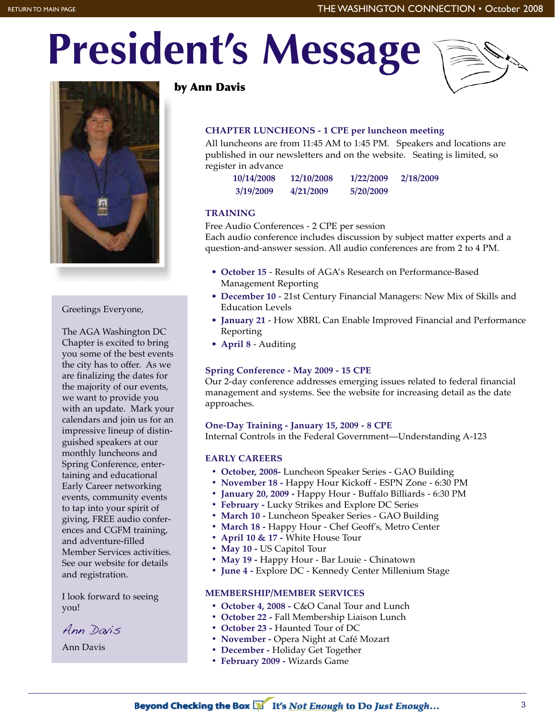# **President's Message**





#### Greetings Everyone,

The AGA Washington DC Chapter is excited to bring you some of the best events the city has to offer. As we are finalizing the dates for the majority of our events, we want to provide you with an update. Mark your calendars and join us for an impressive lineup of distinguished speakers at our monthly luncheons and Spring Conference, entertaining and educational Early Career networking events, community events to tap into your spirit of giving, FREE audio conferences and CGFM training, and adventure-filled Member Services activities. See our website for details and registration.

I look forward to seeing you!

Ann Davis

Ann Davis

#### **by Ann Davis**

#### **CHAPTER LUNCHEONS - 1 CPE per luncheon meeting**

All luncheons are from 11:45 AM to 1:45 PM. Speakers and locations are published in our newsletters and on the website. Seating is limited, so register in advance

| 10/14/2008 | 12/10/2008 | 1/22/2009 | 2/18/2009 |
|------------|------------|-----------|-----------|
| 3/19/2009  | 4/21/2009  | 5/20/2009 |           |

#### **TRAINING**

Free Audio Conferences - 2 CPE per session Each audio conference includes discussion by subject matter experts and a question-and-answer session. All audio conferences are from 2 to 4 PM.

- **October 15** Results of AGA's Research on Performance-Based Management Reporting
- **December 10** 21st Century Financial Managers: New Mix of Skills and Education Levels
- **January 21** How XBRL Can Enable Improved Financial and Performance Reporting
- **April 8**  Auditing

#### **Spring Conference - May 2009 - 15 CPE**

Our 2-day conference addresses emerging issues related to federal financial management and systems. See the website for increasing detail as the date approaches.

**One-Day Training - January 15, 2009 - 8 CPE**

Internal Controls in the Federal Government—Understanding A-123

#### **EARLY CAREERS**

- **October, 2008-** Luncheon Speaker Series GAO Building
- **November 18 -** Happy Hour Kickoff ESPN Zone 6:30 PM
- **January 20, 2009 -** Happy Hour Buffalo Billiards 6:30 PM
- **February -** Lucky Strikes and Explore DC Series
- **March 10** Luncheon Speaker Series GAO Building
- **March 18** Happy Hour Chef Geoff's, Metro Center
- **April 10 & 17 -** White House Tour
- **May 10 -** US Capitol Tour
- **May 19** Happy Hour Bar Louie Chinatown
- **June 4** Explore DC Kennedy Center Millenium Stage

#### **MEMBERSHIP/MEMBER SERVICES**

- **October 4, 2008** C&O Canal Tour and Lunch
- **October 22** Fall Membership Liaison Lunch
- **October 23 -** Haunted Tour of DC
- **November** Opera Night at Café Mozart
- **December** Holiday Get Together
- **February 2009 -** Wizards Game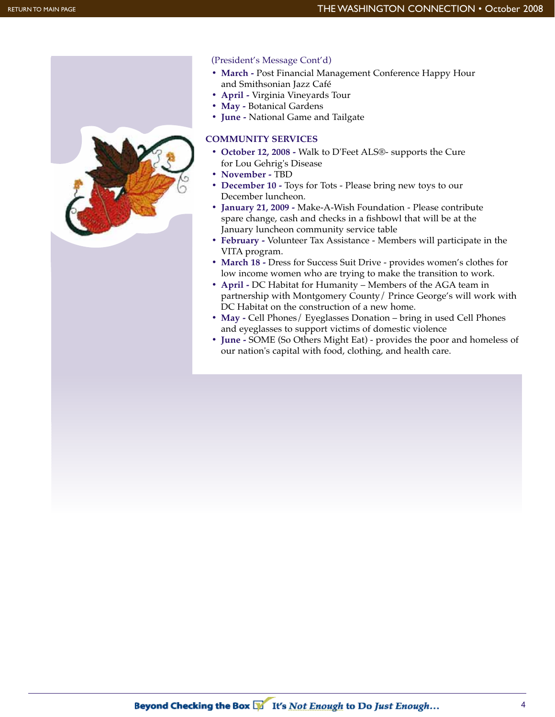

#### (President's Message Cont'd)

- **March -** Post Financial Management Conference Happy Hour and Smithsonian Jazz Café
- **April** Virginia Vineyards Tour
- **May -** Botanical Gardens
- **June -** National Game and Tailgate

#### **COMMUNITY SERVICES**

- **October 12, 2008** Walk to D'Feet ALS®- supports the Cure for Lou Gehrig's Disease
- **November -** TBD
- **December 10** Toys for Tots Please bring new toys to our December luncheon.
- **January 21, 2009** Make-A-Wish Foundation Please contribute spare change, cash and checks in a fishbowl that will be at the January luncheon community service table
- **February -** Volunteer Tax Assistance Members will participate in the VITA program.
- **March 18** Dress for Success Suit Drive provides women's clothes for low income women who are trying to make the transition to work.
- **April** DC Habitat for Humanity Members of the AGA team in partnership with Montgomery County/ Prince George's will work with DC Habitat on the construction of a new home.
- May Cell Phones/ Eyeglasses Donation bring in used Cell Phones and eyeglasses to support victims of domestic violence
- **June** SOME (So Others Might Eat) provides the poor and homeless of our nation's capital with food, clothing, and health care.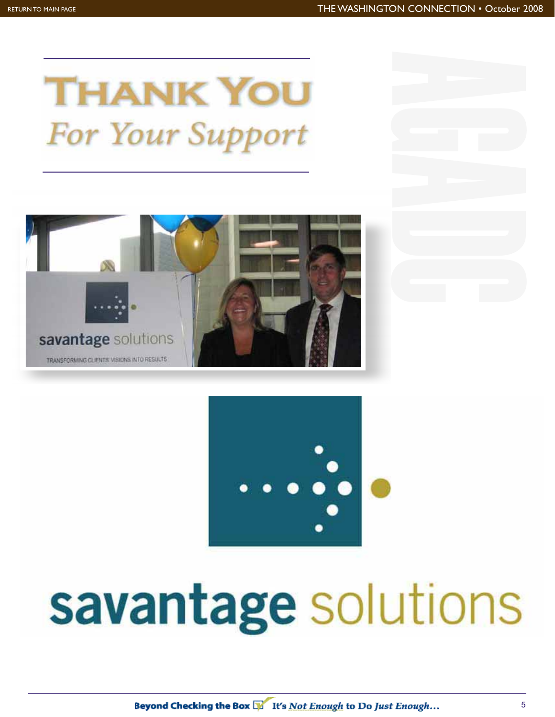## **THANK YOU For Your Support**





# savantage solutions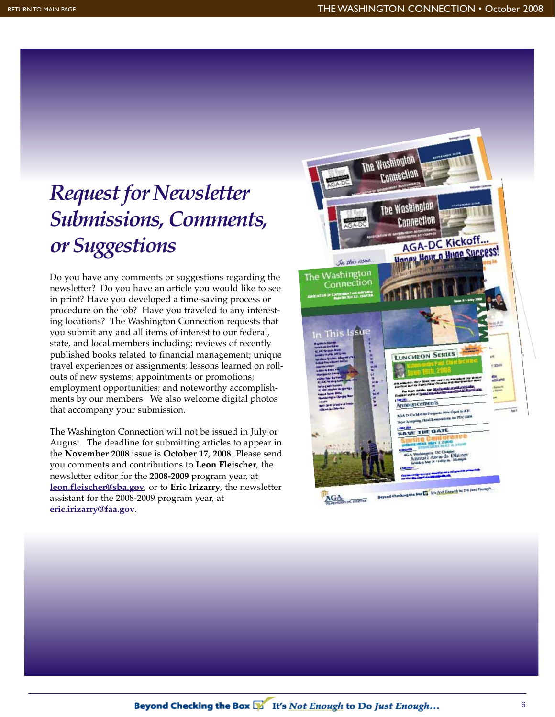## *Request for Newsletter Submissions, Comments, or Suggestions*

Do you have any comments or suggestions regarding the newsletter? Do you have an article you would like to see in print? Have you developed a time-saving process or procedure on the job? Have you traveled to any interesting locations? The Washington Connection requests that you submit any and all items of interest to our federal, state, and local members including: reviews of recently published books related to financial management; unique travel experiences or assignments; lessons learned on rollouts of new systems; appointments or promotions; employment opportunities; and noteworthy accomplishments by our members. We also welcome digital photos that accompany your submission.

The Washington Connection will not be issued in July or August. The deadline for submitting articles to appear in the **November 2008** issue is **October 17, 2008**. Please send you comments and contributions to **Leon Fleischer**, the newsletter editor for the **2008-2009** program year, at **leon.fleischer@sba.gov**, or to **Eric Irizarry**, the newsletter assistant for the 2008-2009 program year, at **eric.irizarry@faa.gov**.

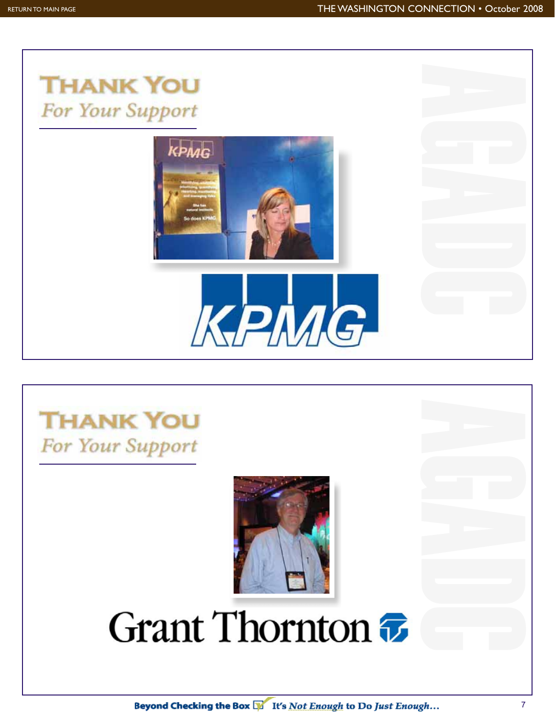AGADC AGADC





## **THANK YOU** For Your Support



## Grant Thornton  $\bar{x}$

Beyond Checking the Box E It's Not Enough to Do Just Enough...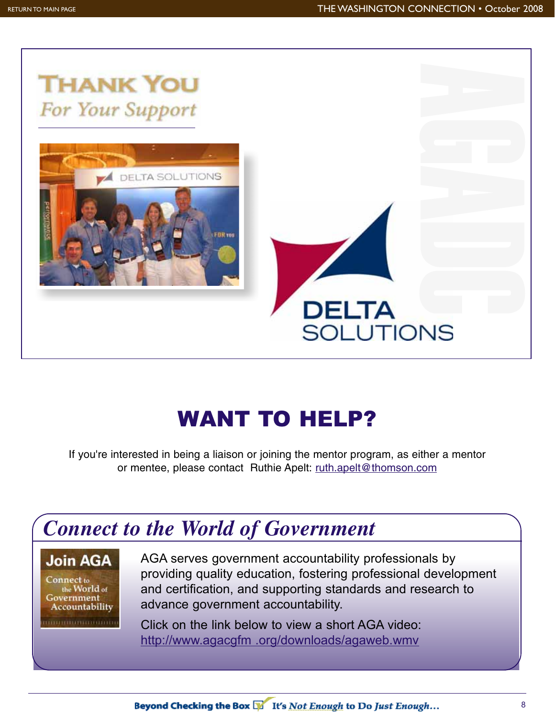

## WANT TO HELP?

If you're interested in being a liaison or joining the mentor program, as either a mentor or mentee, please contact Ruthie Apelt: ruth.apelt@thomson.com



### **Join AGA**

Connect to the World of Government Accountability AGA serves government accountability professionals by providing quality education, fostering professional development and certification, and supporting standards and research to advance government accountability.

Click on the link below to view a short AGA video: http://www.agacgfm .org/downloads/agaweb.wmv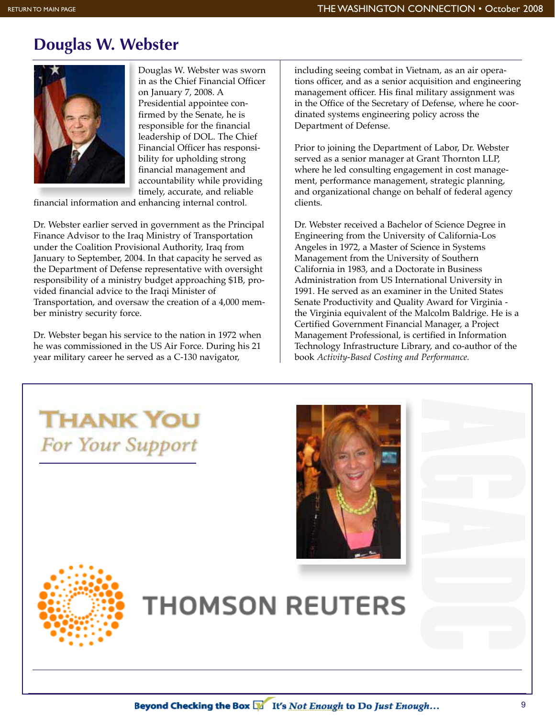## **Douglas W. Webster**



Douglas W. Webster was sworn in as the Chief Financial Officer on January 7, 2008. A Presidential appointee confirmed by the Senate, he is responsible for the financial leadership of DOL. The Chief Financial Officer has responsibility for upholding strong financial management and accountability while providing timely, accurate, and reliable

financial information and enhancing internal control.

Dr. Webster earlier served in government as the Principal Finance Advisor to the Iraq Ministry of Transportation under the Coalition Provisional Authority, Iraq from January to September, 2004. In that capacity he served as the Department of Defense representative with oversight responsibility of a ministry budget approaching \$1B, provided financial advice to the Iraqi Minister of Transportation, and oversaw the creation of a 4,000 member ministry security force.

Dr. Webster began his service to the nation in 1972 when he was commissioned in the US Air Force. During his 21 year military career he served as a C-130 navigator,

**THANK YOU** 

**For Your Support** 

including seeing combat in Vietnam, as an air operations officer, and as a senior acquisition and engineering management officer. His final military assignment was in the Office of the Secretary of Defense, where he coordinated systems engineering policy across the Department of Defense.

Prior to joining the Department of Labor, Dr. Webster served as a senior manager at Grant Thornton LLP, where he led consulting engagement in cost management, performance management, strategic planning, and organizational change on behalf of federal agency clients.

Dr. Webster received a Bachelor of Science Degree in Engineering from the University of California-Los Angeles in 1972, a Master of Science in Systems Management from the University of Southern California in 1983, and a Doctorate in Business Administration from US International University in 1991. He served as an examiner in the United States Senate Productivity and Quality Award for Virginia the Virginia equivalent of the Malcolm Baldrige. He is a Certified Government Financial Manager, a Project Management Professional, is certified in Information Technology Infrastructure Library, and co-author of the book *Activity-Based Costing and Performance.*





## **THOMSON REUTERS**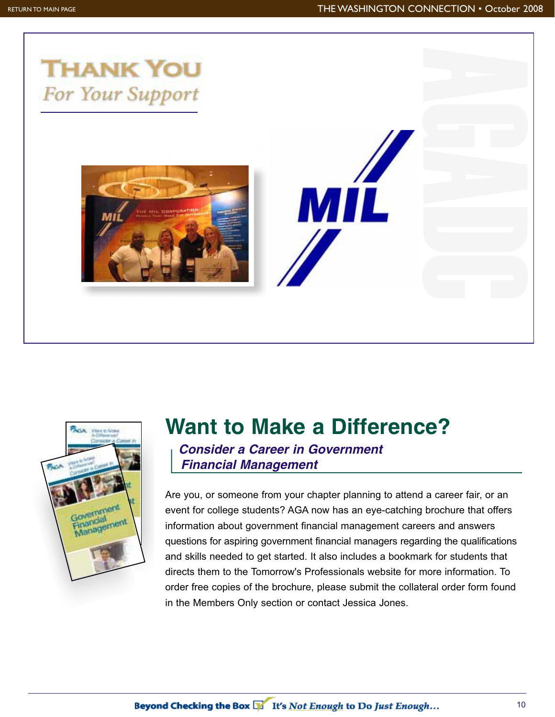



## **Want to Make a Difference?**

*Consider a Career in Government Financial Management*

Are you, or someone from your chapter planning to attend a career fair, or an event for college students? AGA now has an eye-catching brochure that offers information about government financial management careers and answers questions for aspiring government financial managers regarding the qualifications and skills needed to get started. It also includes a bookmark for students that directs them to the Tomorrow's Professionals website for more information. To order free copies of the brochure, please submit the collateral order form found in the Members Only section or contact Jessica Jones.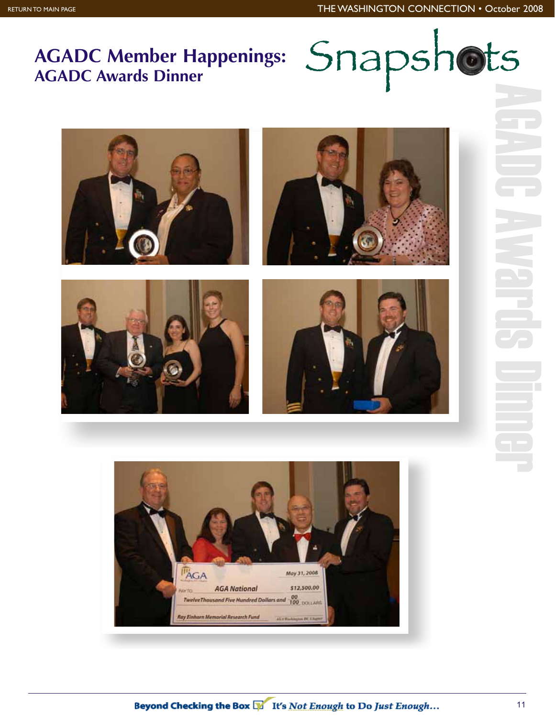## **AGADC Member Happenings:**



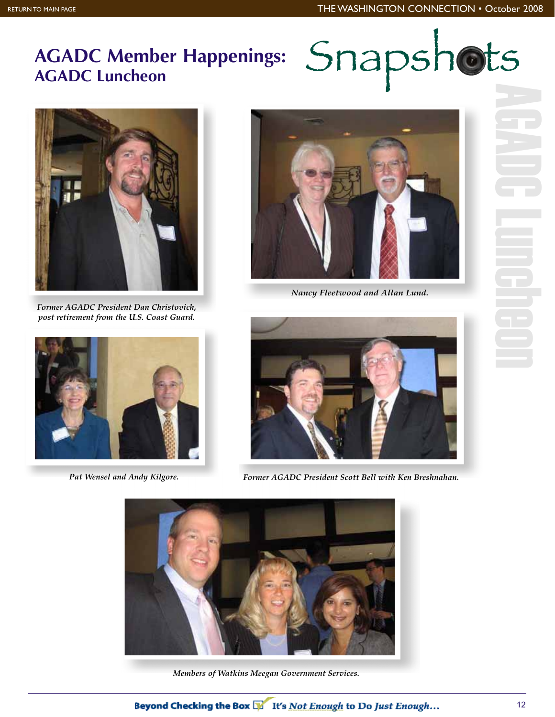## **AGADC Member Happenings:**



*Former AGADC President Dan Christovich, post retirement from the U.S. Coast Guard.*



*Nancy Fleetwood and Allan Lund.*





*Pat Wensel and Andy Kilgore. Former AGADC President Scott Bell with Ken Breshnahan.*



*Members of Watkins Meegan Government Services.*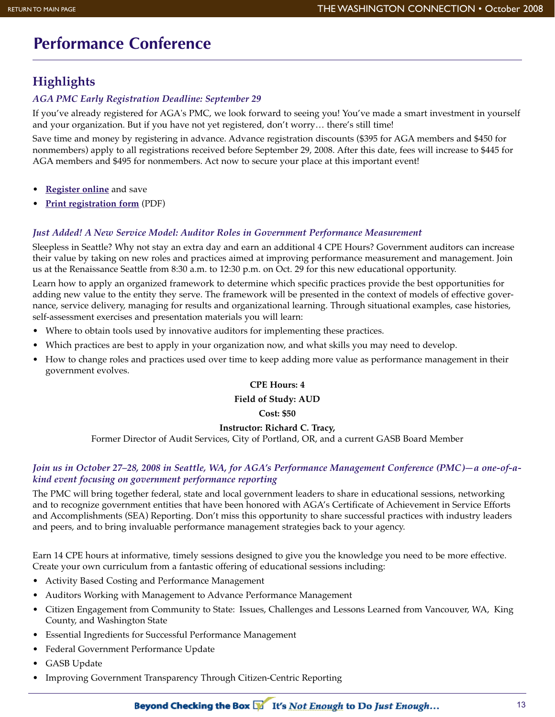## **Performance Conference**

### **Highlights**

#### *AGA PMC Early Registration Deadline: September 29*

If you've already registered for AGA's PMC, we look forward to seeing you! You've made a smart investment in yourself and your organization. But if you have not yet registered, don't worry… there's still time!

Save time and money by registering in advance. Advance registration discounts (\$395 for AGA members and \$450 for nonmembers) apply to all registrations received before September 29, 2008. After this date, fees will increase to \$445 for AGA members and \$495 for nonmembers. Act now to secure your place at this important event!

- **Register online** and save
- **Print registration form** (PDF)

#### *Just Added! A New Service Model: Auditor Roles in Government Performance Measurement*

Sleepless in Seattle? Why not stay an extra day and earn an additional 4 CPE Hours? Government auditors can increase their value by taking on new roles and practices aimed at improving performance measurement and management. Join us at the Renaissance Seattle from 8:30 a.m. to 12:30 p.m. on Oct. 29 for this new educational opportunity.

Learn how to apply an organized framework to determine which specific practices provide the best opportunities for adding new value to the entity they serve. The framework will be presented in the context of models of effective governance, service delivery, managing for results and organizational learning. Through situational examples, case histories, self-assessment exercises and presentation materials you will learn:

- Where to obtain tools used by innovative auditors for implementing these practices.
- Which practices are best to apply in your organization now, and what skills you may need to develop.
- How to change roles and practices used over time to keep adding more value as performance management in their government evolves.

#### **CPE Hours: 4**

**Field of Study: AUD**

**Cost: \$50**

#### **Instructor: Richard C. Tracy,**

Former Director of Audit Services, City of Portland, OR, and a current GASB Board Member

#### *Join us in October 27–28, 2008 in Seattle, WA, for AGA's Performance Management Conference (PMC)—a one-of-akind event focusing on government performance reporting*

The PMC will bring together federal, state and local government leaders to share in educational sessions, networking and to recognize government entities that have been honored with AGA's Certificate of Achievement in Service Efforts and Accomplishments (SEA) Reporting. Don't miss this opportunity to share successful practices with industry leaders and peers, and to bring invaluable performance management strategies back to your agency.

Earn 14 CPE hours at informative, timely sessions designed to give you the knowledge you need to be more effective. Create your own curriculum from a fantastic offering of educational sessions including:

- Activity Based Costing and Performance Management
- Auditors Working with Management to Advance Performance Management
- Citizen Engagement from Community to State: Issues, Challenges and Lessons Learned from Vancouver, WA, King County, and Washington State
- Essential Ingredients for Successful Performance Management
- Federal Government Performance Update
- GASB Update
- Improving Government Transparency Through Citizen-Centric Reporting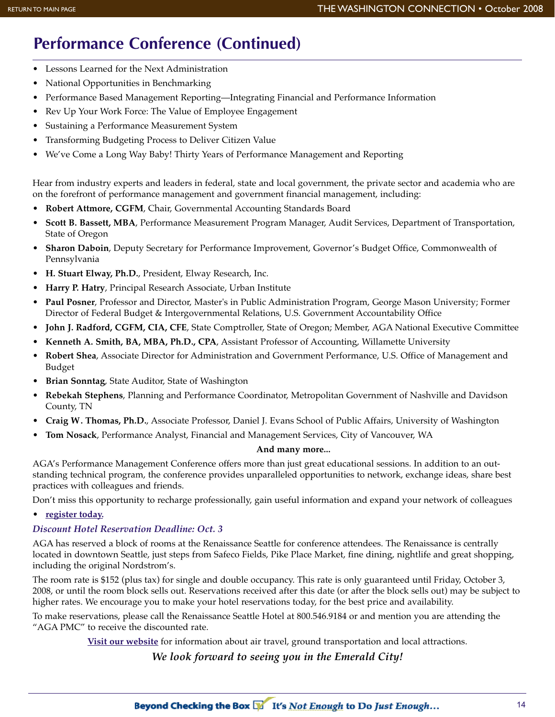## **Performance Conference (Continued)**

- Lessons Learned for the Next Administration
- National Opportunities in Benchmarking
- Performance Based Management Reporting—Integrating Financial and Performance Information
- Rev Up Your Work Force: The Value of Employee Engagement
- Sustaining a Performance Measurement System
- Transforming Budgeting Process to Deliver Citizen Value
- We've Come a Long Way Baby! Thirty Years of Performance Management and Reporting

Hear from industry experts and leaders in federal, state and local government, the private sector and academia who are on the forefront of performance management and government financial management, including:

- **Robert Attmore, CGFM**, Chair, Governmental Accounting Standards Board
- **Scott B. Bassett, MBA**, Performance Measurement Program Manager, Audit Services, Department of Transportation, State of Oregon
- **Sharon Daboin**, Deputy Secretary for Performance Improvement, Governor's Budget Office, Commonwealth of Pennsylvania
- **H. Stuart Elway, Ph.D.**, President, Elway Research, Inc.
- **Harry P. Hatry**, Principal Research Associate, Urban Institute
- **Paul Posner**, Professor and Director, Master's in Public Administration Program, George Mason University; Former Director of Federal Budget & Intergovernmental Relations, U.S. Government Accountability Office
- **John J. Radford, CGFM, CIA, CFE**, State Comptroller, State of Oregon; Member, AGA National Executive Committee
- **Kenneth A. Smith, BA, MBA, Ph.D., CPA**, Assistant Professor of Accounting, Willamette University
- **Robert Shea**, Associate Director for Administration and Government Performance, U.S. Office of Management and Budget
- **Brian Sonntag**, State Auditor, State of Washington
- **Rebekah Stephens**, Planning and Performance Coordinator, Metropolitan Government of Nashville and Davidson County, TN
- **Craig W. Thomas, Ph.D.**, Associate Professor, Daniel J. Evans School of Public Affairs, University of Washington
- **Tom Nosack**, Performance Analyst, Financial and Management Services, City of Vancouver, WA

#### **And many more...**

AGA's Performance Management Conference offers more than just great educational sessions. In addition to an outstanding technical program, the conference provides unparalleled opportunities to network, exchange ideas, share best practices with colleagues and friends.

Don't miss this opportunity to recharge professionally, gain useful information and expand your network of colleagues

• **register today.**

#### *Discount Hotel Reservation Deadline: Oct. 3*

AGA has reserved a block of rooms at the Renaissance Seattle for conference attendees. The Renaissance is centrally located in downtown Seattle, just steps from Safeco Fields, Pike Place Market, fine dining, nightlife and great shopping, including the original Nordstrom's.

The room rate is \$152 (plus tax) for single and double occupancy. This rate is only guaranteed until Friday, October 3, 2008, or until the room block sells out. Reservations received after this date (or after the block sells out) may be subject to higher rates. We encourage you to make your hotel reservations today, for the best price and availability.

To make reservations, please call the Renaissance Seattle Hotel at 800.546.9184 or and mention you are attending the "AGA PMC" to receive the discounted rate.

**Visit our website** for information about air travel, ground transportation and local attractions.

*We look forward to seeing you in the Emerald City!*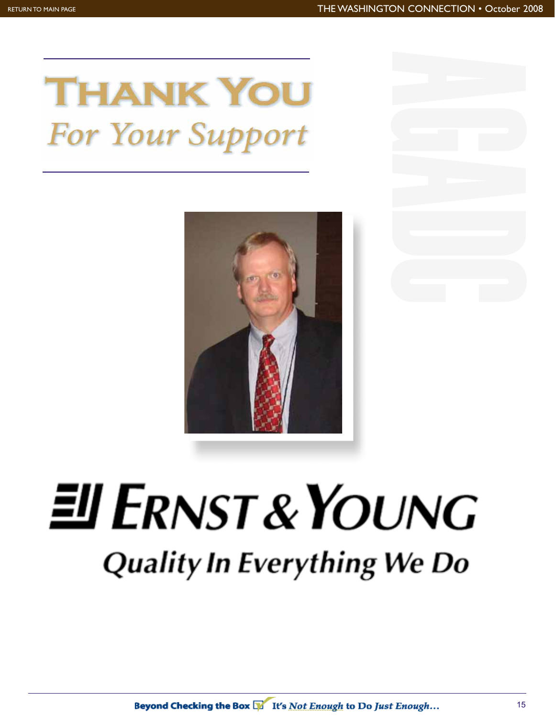## **THANK YOU For Your Support**



# $EIFRNST & YOUNG$ **Quality In Everything We Do**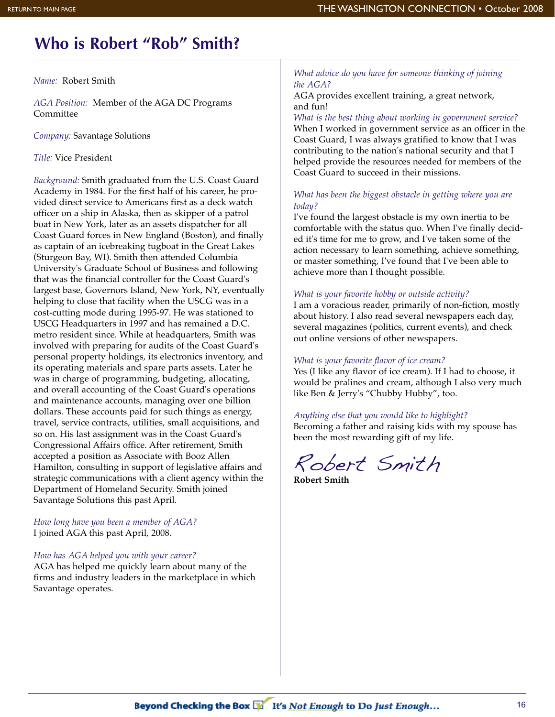## **Who is Robert "Rob" Smith?**

*Name:* Robert Smith

*AGA Position:* Member of the AGA DC Programs Committee

*Company:* Savantage Solutions

*Title:* Vice President

*Background:* Smith graduated from the U.S. Coast Guard Academy in 1984. For the first half of his career, he provided direct service to Americans first as a deck watch officer on a ship in Alaska, then as skipper of a patrol boat in New York, later as an assets dispatcher for all Coast Guard forces in New England (Boston), and finally as captain of an icebreaking tugboat in the Great Lakes (Sturgeon Bay, WI). Smith then attended Columbia University's Graduate School of Business and following that was the financial controller for the Coast Guard's largest base, Governors Island, New York, NY, eventually helping to close that facility when the USCG was in a cost-cutting mode during 1995-97. He was stationed to USCG Headquarters in 1997 and has remained a D.C. metro resident since. While at headquarters, Smith was involved with preparing for audits of the Coast Guard's personal property holdings, its electronics inventory, and its operating materials and spare parts assets. Later he was in charge of programming, budgeting, allocating, and overall accounting of the Coast Guard's operations and maintenance accounts, managing over one billion dollars. These accounts paid for such things as energy, travel, service contracts, utilities, small acquisitions, and so on. His last assignment was in the Coast Guard's Congressional Affairs office. After retirement, Smith accepted a position as Associate with Booz Allen Hamilton, consulting in support of legislative affairs and strategic communications with a client agency within the Department of Homeland Security. Smith joined Savantage Solutions this past April.

*How long have you been a member of AGA?* I joined AGA this past April, 2008.

#### *How has AGA helped you with your career?*

AGA has helped me quickly learn about many of the firms and industry leaders in the marketplace in which Savantage operates.

#### *What advice do you have for someone thinking of joining the AGA?*

AGA provides excellent training, a great network, and fun!

*What is the best thing about working in government service?* When I worked in government service as an officer in the Coast Guard, I was always gratified to know that I was contributing to the nation's national security and that I helped provide the resources needed for members of the Coast Guard to succeed in their missions.

#### *What has been the biggest obstacle in getting where you are today?*

I've found the largest obstacle is my own inertia to be comfortable with the status quo. When I've finally decided it's time for me to grow, and I've taken some of the action necessary to learn something, achieve something, or master something, I've found that I've been able to achieve more than I thought possible.

#### *What is your favorite hobby or outside activity?*

I am a voracious reader, primarily of non-fiction, mostly about history. I also read several newspapers each day, several magazines (politics, current events), and check out online versions of other newspapers.

#### *What is your favorite flavor of ice cream?*

Yes (I like any flavor of ice cream). If I had to choose, it would be pralines and cream, although I also very much like Ben & Jerry's "Chubby Hubby", too.

#### *Anything else that you would like to highlight?*

Becoming a father and raising kids with my spouse has been the most rewarding gift of my life.

Robert Smith

**Robert Smith**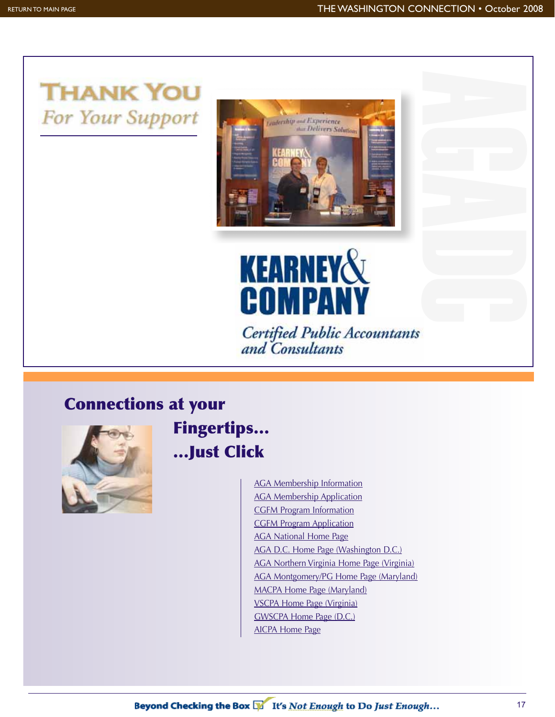## **THANK YOU** For Your Support





Certified Public Accountants<br>and Consultants

## **Connections at your**



**Fingertips… …Just Click**

> AGA Membership Information AGA Membership Application CGFM Program Information CGFM Program Application AGA National Home Page AGA D.C. Home Page (Washington D.C.) AGA Northern Virginia Home Page (Virginia) AGA Montgomery/PG Home Page (Maryland) MACPA Home Page (Maryland) VSCPA Home Page (Virginia) GWSCPA Home Page (D.C.) AICPA Home Page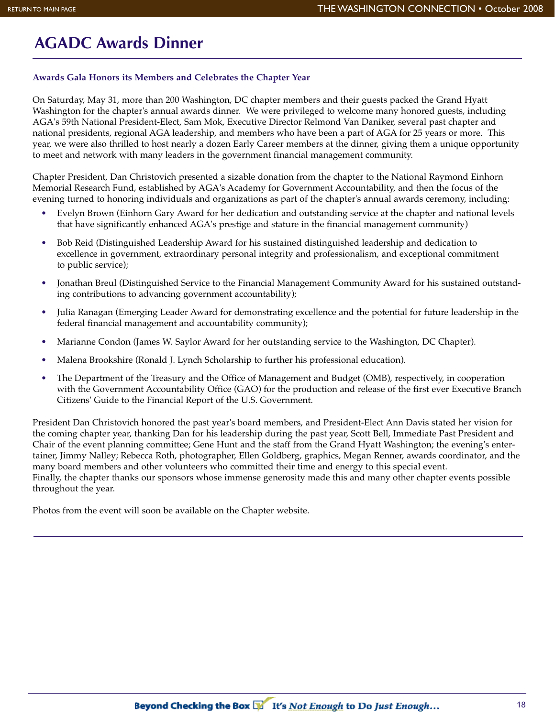## **AGADC Awards Dinner**

#### **Awards Gala Honors its Members and Celebrates the Chapter Year**

On Saturday, May 31, more than 200 Washington, DC chapter members and their guests packed the Grand Hyatt Washington for the chapter's annual awards dinner. We were privileged to welcome many honored guests, including AGA's 59th National President-Elect, Sam Mok, Executive Director Relmond Van Daniker, several past chapter and national presidents, regional AGA leadership, and members who have been a part of AGA for 25 years or more. This year, we were also thrilled to host nearly a dozen Early Career members at the dinner, giving them a unique opportunity to meet and network with many leaders in the government financial management community.

Chapter President, Dan Christovich presented a sizable donation from the chapter to the National Raymond Einhorn Memorial Research Fund, established by AGA's Academy for Government Accountability, and then the focus of the evening turned to honoring individuals and organizations as part of the chapter's annual awards ceremony, including:

- Evelyn Brown (Einhorn Gary Award for her dedication and outstanding service at the chapter and national levels that have significantly enhanced AGA's prestige and stature in the financial management community)
- Bob Reid (Distinguished Leadership Award for his sustained distinguished leadership and dedication to excellence in government, extraordinary personal integrity and professionalism, and exceptional commitment to public service);
- Jonathan Breul (Distinguished Service to the Financial Management Community Award for his sustained outstanding contributions to advancing government accountability);
- Julia Ranagan (Emerging Leader Award for demonstrating excellence and the potential for future leadership in the federal financial management and accountability community);
- Marianne Condon (James W. Saylor Award for her outstanding service to the Washington, DC Chapter).
- Malena Brookshire (Ronald J. Lynch Scholarship to further his professional education).
- The Department of the Treasury and the Office of Management and Budget (OMB), respectively, in cooperation with the Government Accountability Office (GAO) for the production and release of the first ever Executive Branch Citizens' Guide to the Financial Report of the U.S. Government.

President Dan Christovich honored the past year's board members, and President-Elect Ann Davis stated her vision for the coming chapter year, thanking Dan for his leadership during the past year, Scott Bell, Immediate Past President and Chair of the event planning committee; Gene Hunt and the staff from the Grand Hyatt Washington; the evening's entertainer, Jimmy Nalley; Rebecca Roth, photographer, Ellen Goldberg, graphics, Megan Renner, awards coordinator, and the many board members and other volunteers who committed their time and energy to this special event. Finally, the chapter thanks our sponsors whose immense generosity made this and many other chapter events possible throughout the year.

Photos from the event will soon be available on the Chapter website.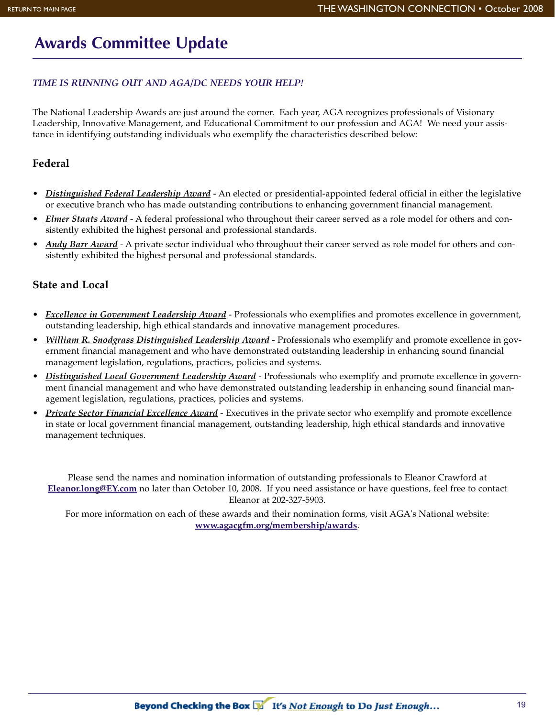## **Awards Committee Update**

#### *TIME IS RUNNING OUT AND AGA/DC NEEDS YOUR HELP!*

The National Leadership Awards are just around the corner. Each year, AGA recognizes professionals of Visionary Leadership, Innovative Management, and Educational Commitment to our profession and AGA! We need your assistance in identifying outstanding individuals who exemplify the characteristics described below:

#### **Federal**

- *Distinguished Federal Leadership Award* An elected or presidential-appointed federal official in either the legislative or executive branch who has made outstanding contributions to enhancing government financial management.
- *Elmer Staats Award* A federal professional who throughout their career served as a role model for others and consistently exhibited the highest personal and professional standards.
- *Andy Barr Award* A private sector individual who throughout their career served as role model for others and consistently exhibited the highest personal and professional standards.

#### **State and Local**

- *Excellence in Government Leadership Award* Professionals who exemplifies and promotes excellence in government, outstanding leadership, high ethical standards and innovative management procedures.
- *William R. Snodgrass Distinguished Leadership Award* Professionals who exemplify and promote excellence in government financial management and who have demonstrated outstanding leadership in enhancing sound financial management legislation, regulations, practices, policies and systems.
- *Distinguished Local Government Leadership Award* Professionals who exemplify and promote excellence in government financial management and who have demonstrated outstanding leadership in enhancing sound financial management legislation, regulations, practices, policies and systems.
- *Private Sector Financial Excellence Award* Executives in the private sector who exemplify and promote excellence in state or local government financial management, outstanding leadership, high ethical standards and innovative management techniques.

Please send the names and nomination information of outstanding professionals to Eleanor Crawford at **Eleanor.long@EY.com** no later than October 10, 2008. If you need assistance or have questions, feel free to contact Eleanor at 202-327-5903.

For more information on each of these awards and their nomination forms, visit AGA's National website: **www.agacgfm.org/membership/awards**.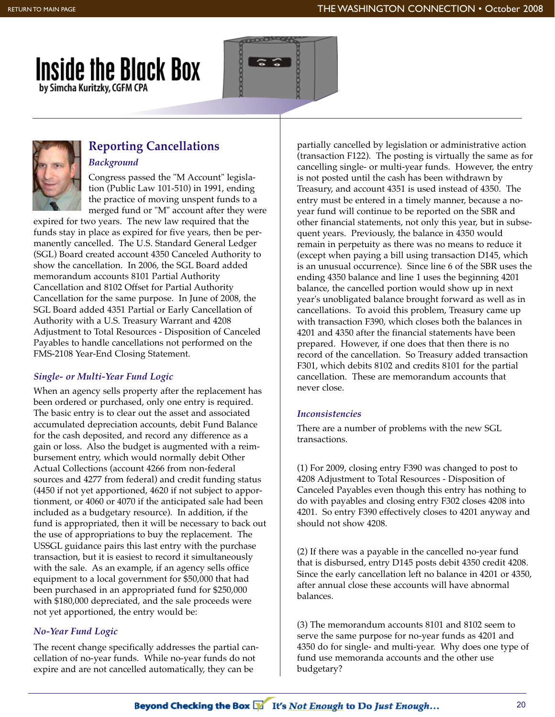





## **Reporting Cancellations**

*Background* Congress passed the "M Account" legislation (Public Law 101-510) in 1991, ending the practice of moving unspent funds to a merged fund or "M" account after they were

expired for two years. The new law required that the funds stay in place as expired for five years, then be permanently cancelled. The U.S. Standard General Ledger (SGL) Board created account 4350 Canceled Authority to show the cancellation. In 2006, the SGL Board added memorandum accounts 8101 Partial Authority Cancellation and 8102 Offset for Partial Authority Cancellation for the same purpose. In June of 2008, the SGL Board added 4351 Partial or Early Cancellation of Authority with a U.S. Treasury Warrant and 4208 Adjustment to Total Resources - Disposition of Canceled Payables to handle cancellations not performed on the FMS-2108 Year-End Closing Statement.

#### *Single- or Multi-Year Fund Logic*

When an agency sells property after the replacement has been ordered or purchased, only one entry is required. The basic entry is to clear out the asset and associated accumulated depreciation accounts, debit Fund Balance for the cash deposited, and record any difference as a gain or loss. Also the budget is augmented with a reimbursement entry, which would normally debit Other Actual Collections (account 4266 from non-federal sources and 4277 from federal) and credit funding status (4450 if not yet apportioned, 4620 if not subject to apportionment, or 4060 or 4070 if the anticipated sale had been included as a budgetary resource). In addition, if the fund is appropriated, then it will be necessary to back out the use of appropriations to buy the replacement. The USSGL guidance pairs this last entry with the purchase transaction, but it is easiest to record it simultaneously with the sale. As an example, if an agency sells office equipment to a local government for \$50,000 that had been purchased in an appropriated fund for \$250,000 with \$180,000 depreciated, and the sale proceeds were not yet apportioned, the entry would be:

#### *No-Year Fund Logic*

The recent change specifically addresses the partial cancellation of no-year funds. While no-year funds do not expire and are not cancelled automatically, they can be

partially cancelled by legislation or administrative action (transaction F122). The posting is virtually the same as for cancelling single- or multi-year funds. However, the entry is not posted until the cash has been withdrawn by Treasury, and account 4351 is used instead of 4350. The entry must be entered in a timely manner, because a noyear fund will continue to be reported on the SBR and other financial statements, not only this year, but in subsequent years. Previously, the balance in 4350 would remain in perpetuity as there was no means to reduce it (except when paying a bill using transaction D145, which is an unusual occurrence). Since line 6 of the SBR uses the ending 4350 balance and line 1 uses the beginning 4201 balance, the cancelled portion would show up in next year's unobligated balance brought forward as well as in cancellations. To avoid this problem, Treasury came up with transaction F390, which closes both the balances in 4201 and 4350 after the financial statements have been prepared. However, if one does that then there is no record of the cancellation. So Treasury added transaction F301, which debits 8102 and credits 8101 for the partial cancellation. These are memorandum accounts that never close.

#### *Inconsistencies*

There are a number of problems with the new SGL transactions.

(1) For 2009, closing entry F390 was changed to post to 4208 Adjustment to Total Resources - Disposition of Canceled Payables even though this entry has nothing to do with payables and closing entry F302 closes 4208 into 4201. So entry F390 effectively closes to 4201 anyway and should not show 4208.

(2) If there was a payable in the cancelled no-year fund that is disbursed, entry D145 posts debit 4350 credit 4208. Since the early cancellation left no balance in 4201 or 4350, after annual close these accounts will have abnormal balances.

(3) The memorandum accounts 8101 and 8102 seem to serve the same purpose for no-year funds as 4201 and 4350 do for single- and multi-year. Why does one type of fund use memoranda accounts and the other use budgetary?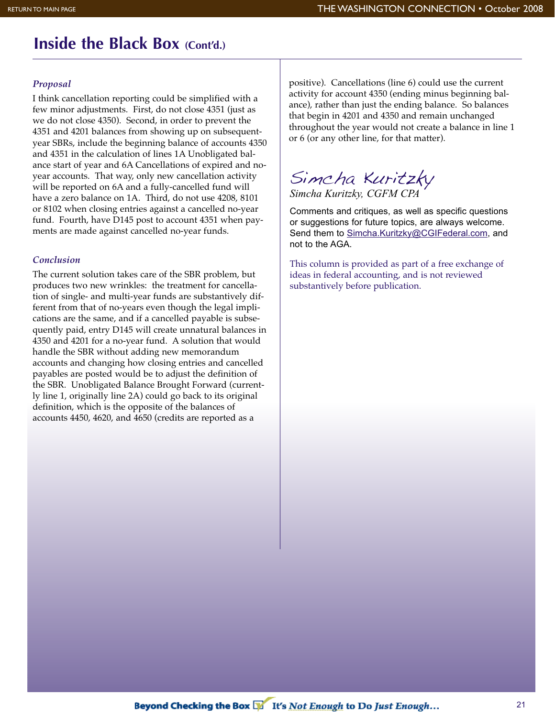## **Inside the Black Box (Cont'd.)**

#### *Proposal*

I think cancellation reporting could be simplified with a few minor adjustments. First, do not close 4351 (just as we do not close 4350). Second, in order to prevent the 4351 and 4201 balances from showing up on subsequentyear SBRs, include the beginning balance of accounts 4350 and 4351 in the calculation of lines 1A Unobligated balance start of year and 6A Cancellations of expired and noyear accounts. That way, only new cancellation activity will be reported on 6A and a fully-cancelled fund will have a zero balance on 1A. Third, do not use 4208, 8101 or 8102 when closing entries against a cancelled no-year fund. Fourth, have D145 post to account 4351 when payments are made against cancelled no-year funds.

#### *Conclusion*

The current solution takes care of the SBR problem, but produces two new wrinkles: the treatment for cancellation of single- and multi-year funds are substantively different from that of no-years even though the legal implications are the same, and if a cancelled payable is subsequently paid, entry D145 will create unnatural balances in 4350 and 4201 for a no-year fund. A solution that would handle the SBR without adding new memorandum accounts and changing how closing entries and cancelled payables are posted would be to adjust the definition of the SBR. Unobligated Balance Brought Forward (currently line 1, originally line 2A) could go back to its original definition, which is the opposite of the balances of accounts 4450, 4620, and 4650 (credits are reported as a

positive). Cancellations (line 6) could use the current activity for account 4350 (ending minus beginning balance), rather than just the ending balance. So balances that begin in 4201 and 4350 and remain unchanged throughout the year would not create a balance in line 1 or 6 (or any other line, for that matter).

Simcha Kuritzky

*Simcha Kuritzky, CGFM CPA*

Comments and critiques, as well as specific questions or suggestions for future topics, are always welcome. Send them to Simcha.Kuritzky@CGIFederal.com, and not to the AGA.

This column is provided as part of a free exchange of ideas in federal accounting, and is not reviewed substantively before publication.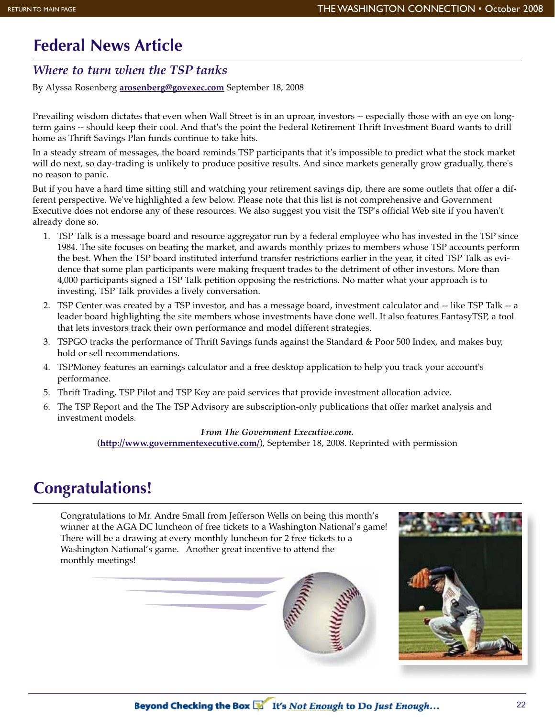## **Federal News Article**

#### *Where to turn when the TSP tanks*

By Alyssa Rosenberg **arosenberg@govexec.com** September 18, 2008

Prevailing wisdom dictates that even when Wall Street is in an uproar, investors -- especially those with an eye on longterm gains -- should keep their cool. And that's the point the Federal Retirement Thrift Investment Board wants to drill home as Thrift Savings Plan funds continue to take hits.

In a steady stream of messages, the board reminds TSP participants that it's impossible to predict what the stock market will do next, so day-trading is unlikely to produce positive results. And since markets generally grow gradually, there's no reason to panic.

But if you have a hard time sitting still and watching your retirement savings dip, there are some outlets that offer a different perspective. We've highlighted a few below. Please note that this list is not comprehensive and Government Executive does not endorse any of these resources. We also suggest you visit the TSP's official Web site if you haven't already done so.

- 1. TSP Talk is a message board and resource aggregator run by a federal employee who has invested in the TSP since 1984. The site focuses on beating the market, and awards monthly prizes to members whose TSP accounts perform the best. When the TSP board instituted interfund transfer restrictions earlier in the year, it cited TSP Talk as evidence that some plan participants were making frequent trades to the detriment of other investors. More than 4,000 participants signed a TSP Talk petition opposing the restrictions. No matter what your approach is to investing, TSP Talk provides a lively conversation.
- 2. TSP Center was created by a TSP investor, and has a message board, investment calculator and -- like TSP Talk -- a leader board highlighting the site members whose investments have done well. It also features FantasyTSP, a tool that lets investors track their own performance and model different strategies.
- 3. TSPGO tracks the performance of Thrift Savings funds against the Standard & Poor 500 Index, and makes buy, hold or sell recommendations.
- 4. TSPMoney features an earnings calculator and a free desktop application to help you track your account's performance.
- 5. Thrift Trading, TSP Pilot and TSP Key are paid services that provide investment allocation advice.
- 6. The TSP Report and the The TSP Advisory are subscription-only publications that offer market analysis and investment models.

#### *From The Government Executive.com.*

(**http://www.governmentexecutive.com/**), September 18, 2008. Reprinted with permission

## **Congratulations!**

Congratulations to Mr. Andre Small from Jefferson Wells on being this month's winner at the AGA DC luncheon of free tickets to a Washington National's game! There will be a drawing at every monthly luncheon for 2 free tickets to a Washington National's game. Another great incentive to attend the monthly meetings!



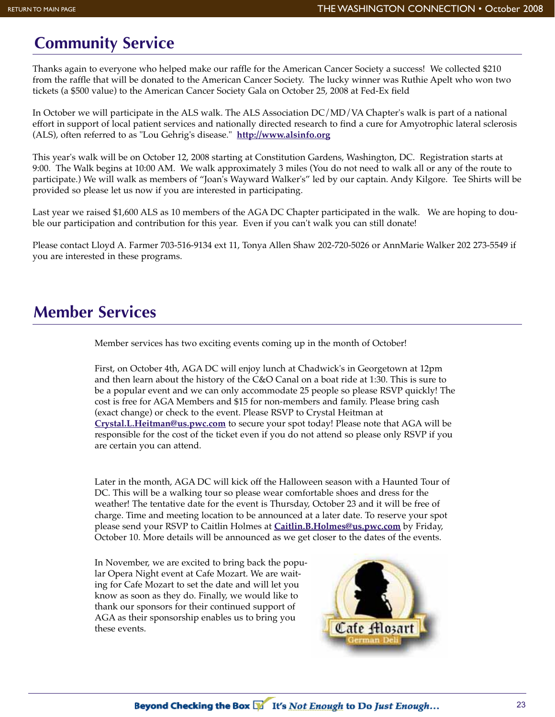### **Community Service**

Thanks again to everyone who helped make our raffle for the American Cancer Society a success! We collected \$210 from the raffle that will be donated to the American Cancer Society. The lucky winner was Ruthie Apelt who won two tickets (a \$500 value) to the American Cancer Society Gala on October 25, 2008 at Fed-Ex field

In October we will participate in the ALS walk. The ALS Association DC/MD/VA Chapter's walk is part of a national effort in support of local patient services and nationally directed research to find a cure for Amyotrophic lateral sclerosis (ALS), often referred to as "Lou Gehrig's disease." **http://www.alsinfo.org**

This year's walk will be on October 12, 2008 starting at Constitution Gardens, Washington, DC. Registration starts at 9:00. The Walk begins at 10:00 AM. We walk approximately 3 miles (You do not need to walk all or any of the route to participate.) We will walk as members of "Joan's Wayward Walker's" led by our captain. Andy Kilgore. Tee Shirts will be provided so please let us now if you are interested in participating.

Last year we raised \$1,600 ALS as 10 members of the AGA DC Chapter participated in the walk. We are hoping to double our participation and contribution for this year. Even if you can't walk you can still donate!

Please contact Lloyd A. Farmer 703-516-9134 ext 11, Tonya Allen Shaw 202-720-5026 or AnnMarie Walker 202 273-5549 if you are interested in these programs.

### **Member Services**

Member services has two exciting events coming up in the month of October!

First, on October 4th, AGA DC will enjoy lunch at Chadwick's in Georgetown at 12pm and then learn about the history of the C&O Canal on a boat ride at 1:30. This is sure to be a popular event and we can only accommodate 25 people so please RSVP quickly! The cost is free for AGA Members and \$15 for non-members and family. Please bring cash (exact change) or check to the event. Please RSVP to Crystal Heitman at **Crystal.L.Heitman@us.pwc.com** to secure your spot today! Please note that AGA will be responsible for the cost of the ticket even if you do not attend so please only RSVP if you are certain you can attend.

Later in the month, AGA DC will kick off the Halloween season with a Haunted Tour of DC. This will be a walking tour so please wear comfortable shoes and dress for the weather! The tentative date for the event is Thursday, October 23 and it will be free of charge. Time and meeting location to be announced at a later date. To reserve your spot please send your RSVP to Caitlin Holmes at **Caitlin.B.Holmes@us.pwc.com** by Friday, October 10. More details will be announced as we get closer to the dates of the events.

In November, we are excited to bring back the popular Opera Night event at Cafe Mozart. We are waiting for Cafe Mozart to set the date and will let you know as soon as they do. Finally, we would like to thank our sponsors for their continued support of AGA as their sponsorship enables us to bring you these events.

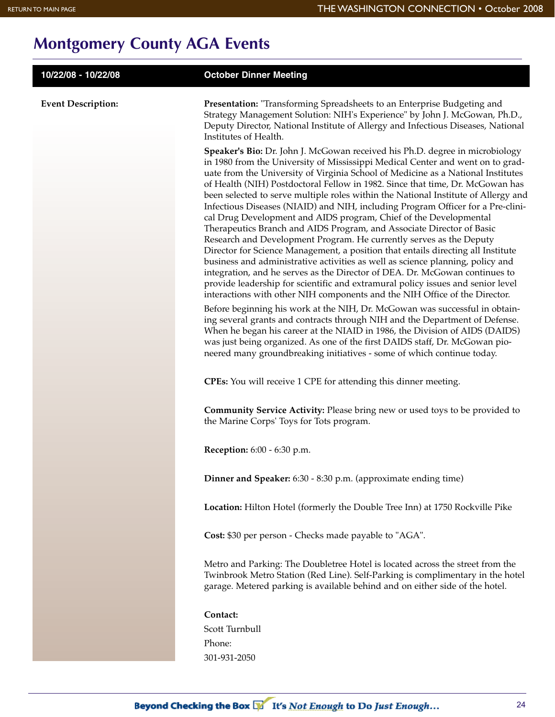## **Montgomery County AGA Events**

| 10/22/08 - 10/22/08       | <b>October Dinner Meeting</b>                                                                                                                                                                                                                                                                                                                                                                                                                                                                                                                                                                                                                                                                                                                                                                                                                                                                                                                                                                                                                                                                                                                                                                                                                                                                                         |
|---------------------------|-----------------------------------------------------------------------------------------------------------------------------------------------------------------------------------------------------------------------------------------------------------------------------------------------------------------------------------------------------------------------------------------------------------------------------------------------------------------------------------------------------------------------------------------------------------------------------------------------------------------------------------------------------------------------------------------------------------------------------------------------------------------------------------------------------------------------------------------------------------------------------------------------------------------------------------------------------------------------------------------------------------------------------------------------------------------------------------------------------------------------------------------------------------------------------------------------------------------------------------------------------------------------------------------------------------------------|
| <b>Event Description:</b> | Presentation: "Transforming Spreadsheets to an Enterprise Budgeting and<br>Strategy Management Solution: NIH's Experience" by John J. McGowan, Ph.D.,<br>Deputy Director, National Institute of Allergy and Infectious Diseases, National<br>Institutes of Health.                                                                                                                                                                                                                                                                                                                                                                                                                                                                                                                                                                                                                                                                                                                                                                                                                                                                                                                                                                                                                                                    |
|                           | Speaker's Bio: Dr. John J. McGowan received his Ph.D. degree in microbiology<br>in 1980 from the University of Mississippi Medical Center and went on to grad-<br>uate from the University of Virginia School of Medicine as a National Institutes<br>of Health (NIH) Postdoctoral Fellow in 1982. Since that time, Dr. McGowan has<br>been selected to serve multiple roles within the National Institute of Allergy and<br>Infectious Diseases (NIAID) and NIH, including Program Officer for a Pre-clini-<br>cal Drug Development and AIDS program, Chief of the Developmental<br>Therapeutics Branch and AIDS Program, and Associate Director of Basic<br>Research and Development Program. He currently serves as the Deputy<br>Director for Science Management, a position that entails directing all Institute<br>business and administrative activities as well as science planning, policy and<br>integration, and he serves as the Director of DEA. Dr. McGowan continues to<br>provide leadership for scientific and extramural policy issues and senior level<br>interactions with other NIH components and the NIH Office of the Director.<br>Before beginning his work at the NIH, Dr. McGowan was successful in obtain-<br>ing several grants and contracts through NIH and the Department of Defense. |
|                           | When he began his career at the NIAID in 1986, the Division of AIDS (DAIDS)<br>was just being organized. As one of the first DAIDS staff, Dr. McGowan pio-<br>neered many groundbreaking initiatives - some of which continue today.                                                                                                                                                                                                                                                                                                                                                                                                                                                                                                                                                                                                                                                                                                                                                                                                                                                                                                                                                                                                                                                                                  |
|                           | <b>CPEs:</b> You will receive 1 CPE for attending this dinner meeting.                                                                                                                                                                                                                                                                                                                                                                                                                                                                                                                                                                                                                                                                                                                                                                                                                                                                                                                                                                                                                                                                                                                                                                                                                                                |
|                           | Community Service Activity: Please bring new or used toys to be provided to<br>the Marine Corps' Toys for Tots program.                                                                                                                                                                                                                                                                                                                                                                                                                                                                                                                                                                                                                                                                                                                                                                                                                                                                                                                                                                                                                                                                                                                                                                                               |
|                           | <b>Reception:</b> 6:00 - 6:30 p.m.                                                                                                                                                                                                                                                                                                                                                                                                                                                                                                                                                                                                                                                                                                                                                                                                                                                                                                                                                                                                                                                                                                                                                                                                                                                                                    |
|                           | Dinner and Speaker: 6:30 - 8:30 p.m. (approximate ending time)                                                                                                                                                                                                                                                                                                                                                                                                                                                                                                                                                                                                                                                                                                                                                                                                                                                                                                                                                                                                                                                                                                                                                                                                                                                        |
|                           | Location: Hilton Hotel (formerly the Double Tree Inn) at 1750 Rockville Pike                                                                                                                                                                                                                                                                                                                                                                                                                                                                                                                                                                                                                                                                                                                                                                                                                                                                                                                                                                                                                                                                                                                                                                                                                                          |
|                           | Cost: \$30 per person - Checks made payable to "AGA".                                                                                                                                                                                                                                                                                                                                                                                                                                                                                                                                                                                                                                                                                                                                                                                                                                                                                                                                                                                                                                                                                                                                                                                                                                                                 |
|                           | Metro and Parking: The Doubletree Hotel is located across the street from the<br>Twinbrook Metro Station (Red Line). Self-Parking is complimentary in the hotel<br>garage. Metered parking is available behind and on either side of the hotel.                                                                                                                                                                                                                                                                                                                                                                                                                                                                                                                                                                                                                                                                                                                                                                                                                                                                                                                                                                                                                                                                       |
|                           | Contact:<br>Scott Turnbull                                                                                                                                                                                                                                                                                                                                                                                                                                                                                                                                                                                                                                                                                                                                                                                                                                                                                                                                                                                                                                                                                                                                                                                                                                                                                            |
|                           | Phone:                                                                                                                                                                                                                                                                                                                                                                                                                                                                                                                                                                                                                                                                                                                                                                                                                                                                                                                                                                                                                                                                                                                                                                                                                                                                                                                |
|                           | 301-931-2050                                                                                                                                                                                                                                                                                                                                                                                                                                                                                                                                                                                                                                                                                                                                                                                                                                                                                                                                                                                                                                                                                                                                                                                                                                                                                                          |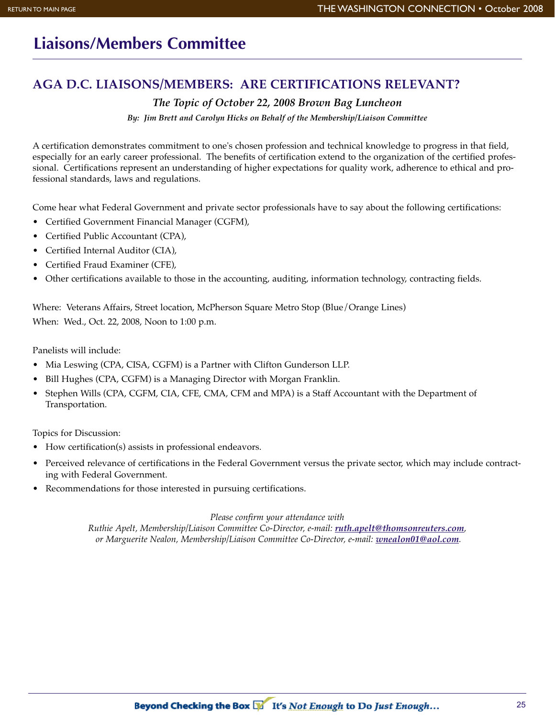## **Liaisons/Members Committee**

#### **AGA D.C. LIAISONS/MEMBERS: ARE CERTIFICATIONS RELEVANT?**

#### *The Topic of October 22, 2008 Brown Bag Luncheon*

*By: Jim Brett and Carolyn Hicks on Behalf of the Membership/Liaison Committee*

A certification demonstrates commitment to one's chosen profession and technical knowledge to progress in that field, especially for an early career professional. The benefits of certification extend to the organization of the certified professional. Certifications represent an understanding of higher expectations for quality work, adherence to ethical and professional standards, laws and regulations.

Come hear what Federal Government and private sector professionals have to say about the following certifications:

- Certified Government Financial Manager (CGFM),
- Certified Public Accountant (CPA),
- Certified Internal Auditor (CIA),
- Certified Fraud Examiner (CFE),
- Other certifications available to those in the accounting, auditing, information technology, contracting fields.

Where: Veterans Affairs, Street location, McPherson Square Metro Stop (Blue/Orange Lines) When: Wed., Oct. 22, 2008, Noon to 1:00 p.m.

Panelists will include:

- Mia Leswing (CPA, CISA, CGFM) is a Partner with Clifton Gunderson LLP.
- Bill Hughes (CPA, CGFM) is a Managing Director with Morgan Franklin.
- Stephen Wills (CPA, CGFM, CIA, CFE, CMA, CFM and MPA) is a Staff Accountant with the Department of Transportation.

Topics for Discussion:

- How certification(s) assists in professional endeavors.
- Perceived relevance of certifications in the Federal Government versus the private sector, which may include contracting with Federal Government.
- Recommendations for those interested in pursuing certifications.

*Please confirm your attendance with* 

*Ruthie Apelt, Membership/Liaison Committee Co-Director, e-mail: ruth.apelt@thomsonreuters.com, or Marguerite Nealon, Membership/Liaison Committee Co-Director, e-mail: wnealon01@aol.com.*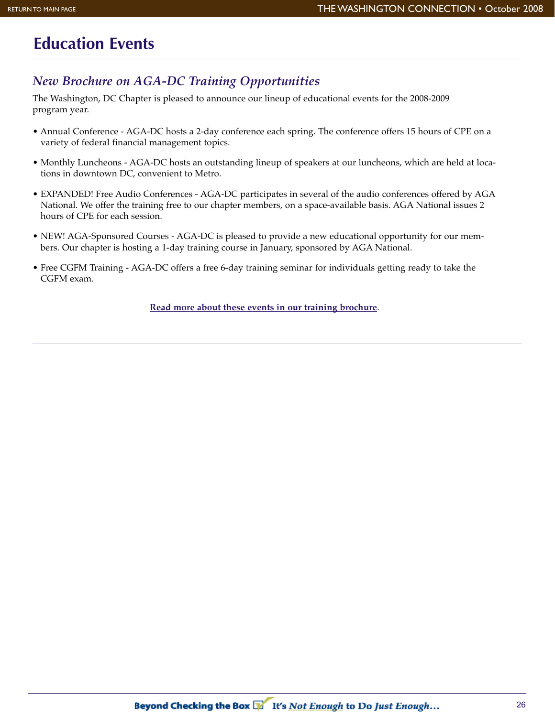## **Education Events**

#### *New Brochure on AGA-DC Training Opportunities*

The Washington, DC Chapter is pleased to announce our lineup of educational events for the 2008-2009 program year.

- Annual Conference AGA-DC hosts a 2-day conference each spring. The conference offers 15 hours of CPE on a variety of federal financial management topics.
- Monthly Luncheons AGA-DC hosts an outstanding lineup of speakers at our luncheons, which are held at locations in downtown DC, convenient to Metro.
- EXPANDED! Free Audio Conferences AGA-DC participates in several of the audio conferences offered by AGA National. We offer the training free to our chapter members, on a space-available basis. AGA National issues 2 hours of CPE for each session.
- NEW! AGA-Sponsored Courses AGA-DC is pleased to provide a new educational opportunity for our members. Our chapter is hosting a 1-day training course in January, sponsored by AGA National.
- Free CGFM Training AGA-DC offers a free 6-day training seminar for individuals getting ready to take the CGFM exam.

**Read more about these events in our training brochure**.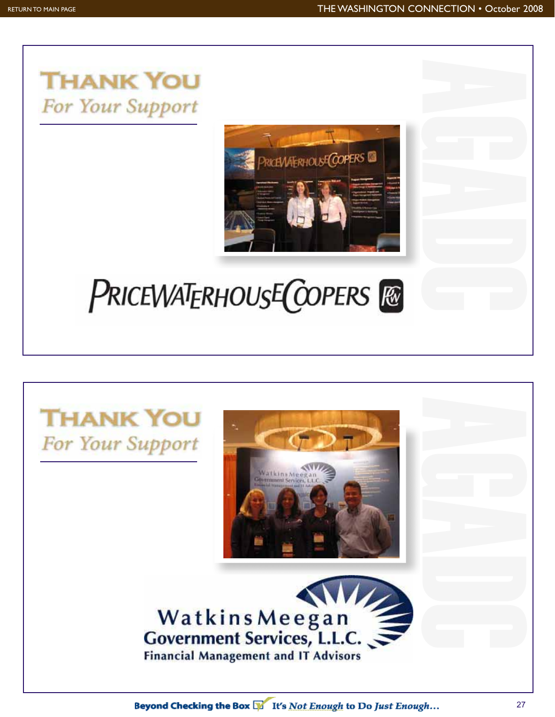

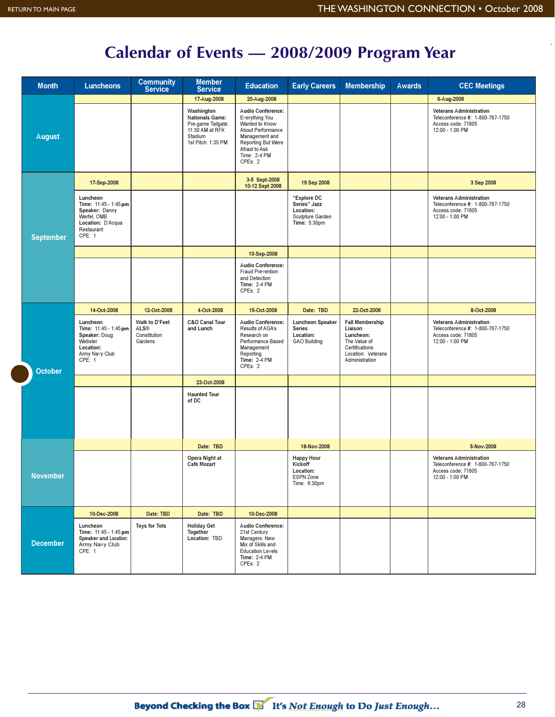## **Calendar of Events — 2008/2009 Program Year**

| <b>Month</b>     | <b>Luncheons</b>                                                                                                | <b>Community</b><br>Service                       | <b>Member</b><br><b>Service</b>                                                                                | <b>Education</b>                                                                                                                                                      | <b>Early Careers</b>                                                          | <b>Membership</b>                                                                                                        | Awards | <b>CEC Meetings</b>                                                                                         |
|------------------|-----------------------------------------------------------------------------------------------------------------|---------------------------------------------------|----------------------------------------------------------------------------------------------------------------|-----------------------------------------------------------------------------------------------------------------------------------------------------------------------|-------------------------------------------------------------------------------|--------------------------------------------------------------------------------------------------------------------------|--------|-------------------------------------------------------------------------------------------------------------|
|                  |                                                                                                                 |                                                   | 17-Aug-2008                                                                                                    | 20-Aug-2008                                                                                                                                                           |                                                                               |                                                                                                                          |        | 6-Aug-2008                                                                                                  |
| <b>August</b>    |                                                                                                                 |                                                   | Washington<br><b>Nationals Game:</b><br>Pre-game Tailgate:<br>11:30 AM at RFK<br>Stadium<br>1st Pitch: 1:35 PM | Audio Conference:<br>Everything You<br>Wanted to Know<br><b>About Performance</b><br>Management and<br>Reporting But Were<br>Afraid to Ask<br>Time: 2-4 PM<br>CPEs: 2 |                                                                               |                                                                                                                          |        | <b>Veterans Administration</b><br>Teleconference #: 1-800-767-1750<br>Access code: 71805<br>12:00 - 1:00 PM |
| <b>September</b> | 17-Sep-2008                                                                                                     |                                                   |                                                                                                                | 3-5 Sept-2008<br>10-12 Sept 2008                                                                                                                                      | 19 Sep 2008                                                                   |                                                                                                                          |        | 3 Sep 2008                                                                                                  |
|                  | Luncheon<br>Time: 11:45 - 1:45 pm<br>Speaker: Danny<br>Werfel, OMB<br>Location: D'Acqua<br>Restaurant<br>CPE: 1 |                                                   |                                                                                                                |                                                                                                                                                                       | "Explore DC<br>Series" Jazz<br>Location:<br>Sculpture Garden<br>Time: 5:30pm  |                                                                                                                          |        | <b>Veterans Administration</b><br>Teleconference #: 1-800-767-1750<br>Access code: 71805<br>12:00 - 1:00 PM |
|                  |                                                                                                                 |                                                   |                                                                                                                | 10-Sep-2008                                                                                                                                                           |                                                                               |                                                                                                                          |        |                                                                                                             |
|                  |                                                                                                                 |                                                   |                                                                                                                | <b>Audio Conference:</b><br><b>Fraud Prevention</b><br>and Detection<br><b>Time: 2-4 PM</b><br>CPEs: 2                                                                |                                                                               |                                                                                                                          |        |                                                                                                             |
|                  | 14-Oct-2008                                                                                                     | 12-Oct-2008                                       | 4-Oct-2008                                                                                                     | 15-Oct-2008                                                                                                                                                           | Date: TBD                                                                     | 22-Oct-2008                                                                                                              |        | 8-Oct-2008                                                                                                  |
| <b>October</b>   | Luncheon<br>Time: 11:45 - 1:45 pm<br>Speaker: Doug<br>Webster<br>Location:<br>Army Navy Club<br>CPE: 1          | Walk to D'Feet<br>ALS®<br>Constitution<br>Gardens | C&O Canal Tour<br>and Lunch                                                                                    | Audio Conference:<br>Results of AGA's<br>Research on<br>Performance Based<br>Management<br>Reporting<br><b>Time: 2-4 PM</b><br>CPEs: 2                                | <b>Luncheon Speaker</b><br><b>Series</b><br>Location:<br><b>GAO Building</b>  | <b>Fall Membership</b><br>Liaison<br>Luncheon:<br>The Value of<br>Certifications<br>Location: Veterans<br>Administration |        | <b>Veterans Administration</b><br>Teleconference #: 1-800-767-1750<br>Access code: 71805<br>12:00 - 1:00 PM |
|                  |                                                                                                                 |                                                   | 23-Oct-2008                                                                                                    |                                                                                                                                                                       |                                                                               |                                                                                                                          |        |                                                                                                             |
|                  |                                                                                                                 |                                                   | <b>Haunted Tour</b><br>of DC                                                                                   |                                                                                                                                                                       |                                                                               |                                                                                                                          |        |                                                                                                             |
|                  |                                                                                                                 |                                                   | Date: TBD                                                                                                      |                                                                                                                                                                       | 18-Nov-2008                                                                   |                                                                                                                          |        | 5-Nov-2008                                                                                                  |
| <b>November</b>  |                                                                                                                 |                                                   | Opera Night at<br>Café Mozart                                                                                  |                                                                                                                                                                       | <b>Happy Hour</b><br>Kickoff<br>Location:<br><b>ESPN Zone</b><br>Time: 6:30pm |                                                                                                                          |        | <b>Veterans Administration</b><br>Teleconference #: 1-800-767-1750<br>Access code: 71805<br>12:00 - 1:00 PM |
|                  | 10-Dec-2008                                                                                                     | Date: TBD                                         | Date: TBD                                                                                                      | 10-Dec-2008                                                                                                                                                           |                                                                               |                                                                                                                          |        |                                                                                                             |
| <b>December</b>  | Luncheon<br>Time: 11:45 - 1:45 pm<br><b>Speaker and Location:</b><br>Army Navy Club<br>CPE: 1                   | <b>Toys for Tots</b>                              | <b>Holiday Get</b><br>Together<br>Location: TBD                                                                | Audio Conference:<br>21st Century<br>Managers: New<br>Mix of Skills and<br><b>Education Levels</b><br><b>Time: 2-4 PM</b><br>CPEs: 2                                  |                                                                               |                                                                                                                          |        |                                                                                                             |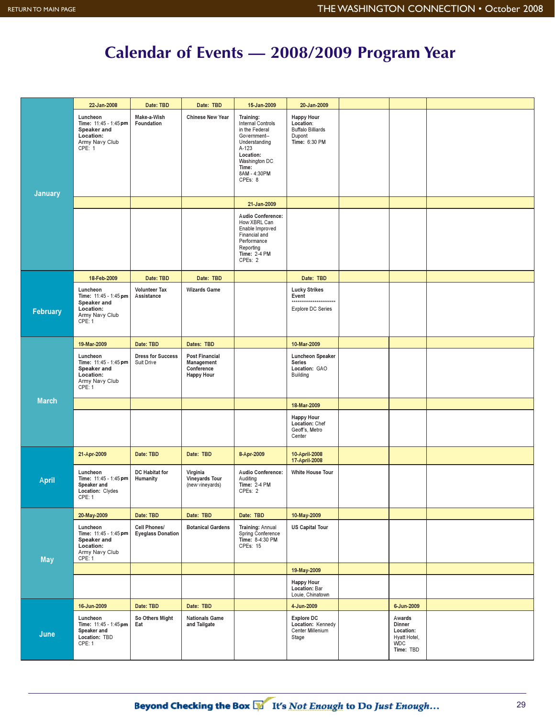## **Calendar of Events — 2008/2009 Program Year**

|                 | 22-Jan-2008                                                                               | Date: TBD                                | Date: TBD                                                              | 15-Jan-2009                                                                                                                                                  | 20-Jan-2009                                                                           |                                                                          |  |
|-----------------|-------------------------------------------------------------------------------------------|------------------------------------------|------------------------------------------------------------------------|--------------------------------------------------------------------------------------------------------------------------------------------------------------|---------------------------------------------------------------------------------------|--------------------------------------------------------------------------|--|
| <b>January</b>  | Luncheon<br>Time: 11:45 - 1:45 pm<br>Speaker and<br>Location:<br>Army Navy Club<br>CPE: 1 | Make-a-Wish<br>Foundation                | <b>Chinese New Year</b>                                                | Training:<br>Internal Controls<br>in the Federal<br>Government--<br>Understanding<br>A-123<br>Location:<br>Washington DC<br>Time:<br>8AM - 4:30PM<br>CPEs: 8 | <b>Happy Hour</b><br>Location:<br><b>Buffalo Billiards</b><br>Dupont<br>Time: 6:30 PM |                                                                          |  |
|                 |                                                                                           |                                          |                                                                        | 21-Jan-2009                                                                                                                                                  |                                                                                       |                                                                          |  |
|                 |                                                                                           |                                          |                                                                        | <b>Audio Conference:</b><br>How XBRL Can<br>Enable Improved<br><b>Financial and</b><br>Performance<br>Reporting<br><b>Time: 2-4 PM</b><br>CPEs: 2            |                                                                                       |                                                                          |  |
|                 | 18-Feb-2009                                                                               | Date: TBD                                | Date: TBD                                                              |                                                                                                                                                              | Date: TBD                                                                             |                                                                          |  |
| <b>February</b> | Luncheon<br>Time: 11:45 - 1:45 pm<br>Speaker and<br>Location:<br>Army Navy Club<br>CPE: 1 | <b>Volunteer Tax</b><br>Assistance       | <b>Wizards Game</b>                                                    |                                                                                                                                                              | <b>Lucky Strikes</b><br>Event<br>***********************<br><b>Explore DC Series</b>  |                                                                          |  |
|                 | 19-Mar-2009                                                                               | Date: TBD                                | Dates: TBD                                                             |                                                                                                                                                              | 10-Mar-2009                                                                           |                                                                          |  |
|                 | Luncheon<br>Time: 11:45 - 1:45 pm<br>Speaker and<br>Location:<br>Army Navy Club<br>CPE: 1 | <b>Dress for Success</b><br>Suit Drive   | <b>Post Financial</b><br>Management<br>Conference<br><b>Happy Hour</b> |                                                                                                                                                              | Luncheon Speaker<br>Series<br>Location: GAO<br>Building                               |                                                                          |  |
| <b>March</b>    |                                                                                           |                                          |                                                                        |                                                                                                                                                              | 18-Mar-2009                                                                           |                                                                          |  |
|                 |                                                                                           |                                          |                                                                        |                                                                                                                                                              | <b>Happy Hour</b><br>Location: Chef<br>Geoff's, Metro<br>Center                       |                                                                          |  |
|                 | 21-Apr-2009                                                                               | Date: TBD                                | Date: TBD                                                              | 8-Apr-2009                                                                                                                                                   | 10-April-2008<br>17-April-2008                                                        |                                                                          |  |
| <b>April</b>    | Luncheon<br>Time: 11:45 - 1:45 pm<br>Speaker and<br>Location: Clydes<br><b>CPE: 1</b>     | DC Habitat for<br>Humanity               | Virginia<br><b>Vineyards Tour</b><br>(new vineyards)                   | Audio Conference:<br>Auditing<br><b>Time: 2-4 PM</b><br>CPEs: 2                                                                                              | <b>White House Tour</b>                                                               |                                                                          |  |
|                 | 20-May-2009                                                                               | Date: TBD                                | Date: TBD                                                              | Date: TBD                                                                                                                                                    | 10-May-2009                                                                           |                                                                          |  |
| <b>May</b>      | Luncheon<br>Time: 11:45 - 1:45 pm<br>Speaker and<br>Location:<br>Army Navy Club<br>CPE: 1 | Cell Phones/<br><b>Eyeglass Donation</b> | <b>Botanical Gardens</b>                                               | Training: Annual<br>Spring Conference<br>Time: 8-4:30 PM<br><b>CPEs: 15</b>                                                                                  | <b>US Capital Tour</b>                                                                |                                                                          |  |
|                 |                                                                                           |                                          |                                                                        |                                                                                                                                                              | 19-May-2009                                                                           |                                                                          |  |
|                 |                                                                                           |                                          |                                                                        |                                                                                                                                                              | <b>Happy Hour</b><br>Location: Bar<br>Louie, Chinatown                                |                                                                          |  |
|                 | 16-Jun-2009                                                                               | Date: TBD                                | Date: TBD                                                              |                                                                                                                                                              | 4-Jun-2009                                                                            | 6-Jun-2009                                                               |  |
| June            | Luncheon<br>Time: 11:45 - 1:45 pm<br>Speaker and<br>Location: TBD<br>CPE: 1               | So Others Might<br>Eat                   | <b>Nationals Game</b><br>and Tailgate                                  |                                                                                                                                                              | <b>Explore DC</b><br>Location: Kennedy<br>Center Millenium<br>Stage                   | Awards<br>Dinner<br>Location:<br>Hyatt Hotel,<br><b>WDC</b><br>Time: TBD |  |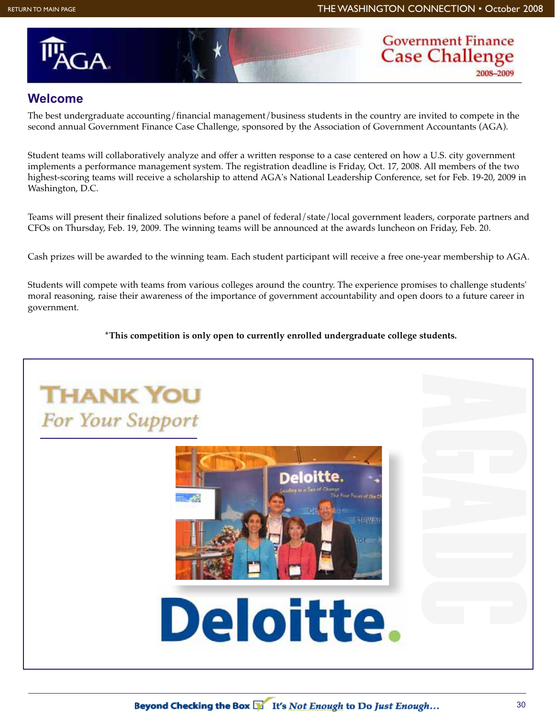



#### **Welcome**

The best undergraduate accounting/financial management/business students in the country are invited to compete in the second annual Government Finance Case Challenge, sponsored by the Association of Government Accountants (AGA).

Student teams will collaboratively analyze and offer a written response to a case centered on how a U.S. city government implements a performance management system. The registration deadline is Friday, Oct. 17, 2008. All members of the two highest-scoring teams will receive a scholarship to attend AGA's National Leadership Conference, set for Feb. 19-20, 2009 in Washington, D.C.

Teams will present their finalized solutions before a panel of federal/state/local government leaders, corporate partners and CFOs on Thursday, Feb. 19, 2009. The winning teams will be announced at the awards luncheon on Friday, Feb. 20.

Cash prizes will be awarded to the winning team. Each student participant will receive a free one-year membership to AGA.

Students will compete with teams from various colleges around the country. The experience promises to challenge students' moral reasoning, raise their awareness of the importance of government accountability and open doors to a future career in government.

**\*This competition is only open to currently enrolled undergraduate college students.**